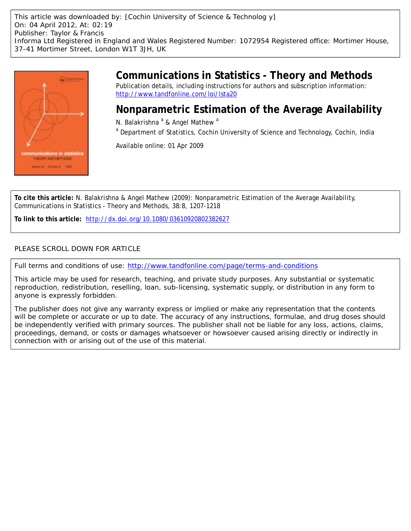This article was downloaded by: [Cochin University of Science & Technolog y] On: 04 April 2012, At: 02:19 Publisher: Taylor & Francis Informa Ltd Registered in England and Wales Registered Number: 1072954 Registered office: Mortimer House, 37-41 Mortimer Street, London W1T 3JH, UK



# **Communications in Statistics - Theory and Methods**

Publication details, including instructions for authors and subscription information: <http://www.tandfonline.com/loi/lsta20>

## **Nonparametric Estimation of the Average Availability**

N. Balakrishna <sup>a</sup> & Angel Mathew <sup>a</sup>

<sup>a</sup> Department of Statistics, Cochin University of Science and Technology, Cochin, India

Available online: 01 Apr 2009

**To cite this article:** N. Balakrishna & Angel Mathew (2009): Nonparametric Estimation of the Average Availability, Communications in Statistics - Theory and Methods, 38:8, 1207-1218

**To link to this article:** <http://dx.doi.org/10.1080/03610920802382627>

### PLEASE SCROLL DOWN FOR ARTICLE

Full terms and conditions of use:<http://www.tandfonline.com/page/terms-and-conditions>

This article may be used for research, teaching, and private study purposes. Any substantial or systematic reproduction, redistribution, reselling, loan, sub-licensing, systematic supply, or distribution in any form to anyone is expressly forbidden.

The publisher does not give any warranty express or implied or make any representation that the contents will be complete or accurate or up to date. The accuracy of any instructions, formulae, and drug doses should be independently verified with primary sources. The publisher shall not be liable for any loss, actions, claims, proceedings, demand, or costs or damages whatsoever or howsoever caused arising directly or indirectly in connection with or arising out of the use of this material.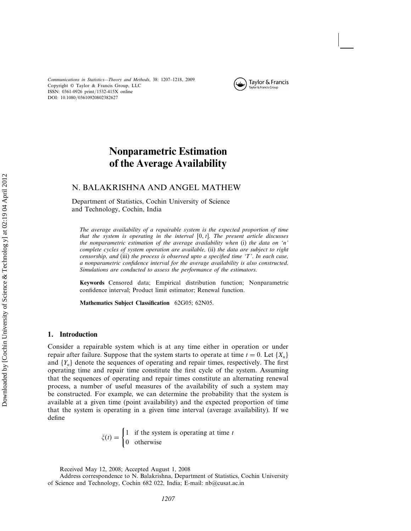

## **Nonparametric Estimation of the Average Availability**

### N. BALAKRISHNA AND ANGEL MATHEW

Department of Statistics, Cochin University of Science and Technology, Cochin, India

*The average availability of a repairable system is the expected proportion of time* that the system is operating in the interval [0, t]. The present article discusses *the nonparametric estimation of the average availability when* (i) *the data on '*n*' complete cycles of system operation are available,* (ii) *the data are subject to right censorship, and* (iii) *the process is observed upto a specified time '*T*'. In each case, a nonparametric confidence interval for the average availability is also constructed. Simulations are conducted to assess the performance of the estimators.*

**Keywords** Censored data; Empirical distribution function; Nonparametric confidence interval; Product limit estimator; Renewal function.

**Mathematics Subject Classification** 62G05; 62N05.

#### **1. Introduction**

Consider a repairable system which is at any time either in operation or under repair after failure. Suppose that the system starts to operate at time  $t = 0$ . Let  $\{X_n\}$ and  ${Y_n}$  denote the sequences of operating and repair times, respectively. The first operating time and repair time constitute the first cycle of the system. Assuming that the sequences of operating and repair times constitute an alternating renewal process, a number of useful measures of the availability of such a system may be constructed. For example, we can determine the probability that the system is available at a given time (point availability) and the expected proportion of time that the system is operating in a given time interval (average availability). If we define

$$
\zeta(t) = \begin{cases} 1 & \text{if the system is operating at time } t \\ 0 & \text{otherwise} \end{cases}
$$

Received May 12, 2008; Accepted August 1, 2008

Address correspondence to N. Balakrishna, Department of Statistics, Cochin University of Science and Technology, Cochin 682 022, India; E-mail: nb@cusat.ac.in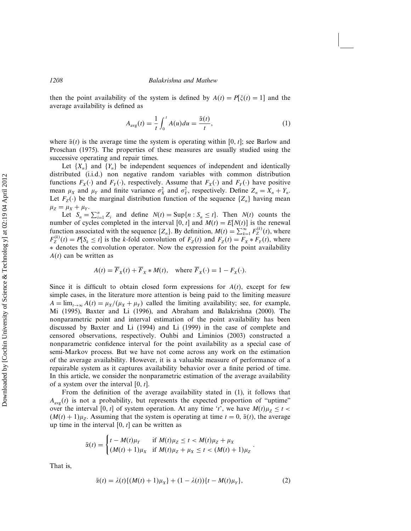then the point availability of the system is defined by  $A(t) = P[\xi(t) = 1]$  and the average availability is defined as

$$
A_{\text{avg}}(t) = \frac{1}{t} \int_0^t A(u) du = \frac{\bar{\alpha}(t)}{t}, \qquad (1)
$$

where  $\bar{\alpha}(t)$  is the average time the system is operating within [0, t]; see Barlow and Proschan (1975). The properties of these measures are usually studied using the successive operating and repair times.

Let  $\{X_n\}$  and  $\{Y_n\}$  be independent sequences of independent and identically distributed (i.i.d.) non negative random variables with common distribution functions  $F_X(\cdot)$  and  $F_Y(\cdot)$ , respectively. Assume that  $F_X(\cdot)$  and  $F_Y(\cdot)$  have positive mean  $\mu_X$  and  $\mu_Y$  and finite variance  $\sigma_X^2$  and  $\sigma_Y^2$ , respectively. Define  $Z_n = X_n + Y_n$ . Let  $F_Z(\cdot)$  be the marginal distribution function of the sequence  $\{Z_n\}$  having mean  $\mu_Z = \mu_X + \mu_Y.$ 

Let  $S_n = \sum_{i=1}^n Z_i$  and define  $N(t) = \sup\{n : S_n \le t\}$ . Then  $N(t)$  counts the number of cycles completed in the interval [0, t] and  $M(t) = E[N(t)]$  is the renewal function associated with the sequence  $\{Z_n\}$ . By definition,  $M(t) = \sum_{k=1}^{\infty} F_Z^{(k)}(t)$ , where  $F_Z^{(k)}(t) = P[S_k \le t]$  is the k-fold convolution of  $F_Z(t)$  and  $F_Z(t) = F_X * F_Y(t)$ , where ∗ denotes the convolution operator. Now the expression for the point availability  $A(t)$  can be written as

$$
A(t) = \overline{F}_X(t) + \overline{F}_X * M(t), \quad \text{where } \overline{F}_X(\cdot) = 1 - F_X(\cdot).
$$

Since it is difficult to obtain closed form expressions for  $A(t)$ , except for few simple cases, in the literature more attention is being paid to the limiting measure  $A = \lim_{t \to \infty} A(t) = \mu_X/(\mu_X + \mu_Y)$  called the limiting availability; see, for example, Mi (1995), Baxter and Li (1996), and Abraham and Balakrishna (2000). The nonparametric point and interval estimation of the point availability has been discussed by Baxter and Li (1994) and Li (1999) in the case of complete and censored observations, respectively. Ouhbi and Liminios (2003) constructed a nonparametric confidence interval for the point availability as a special case of semi-Markov process. But we have not come across any work on the estimation of the average availability. However, it is a valuable measure of performance of a repairable system as it captures availability behavior over a finite period of time. In this article, we consider the nonparametric estimation of the average availability of a system over the interval  $[0, t]$ .

From the definition of the average availability stated in (1), it follows that  $A_{\text{avg}}(t)$  is not a probability, but represents the expected proportion of "uptime" over the interval [0, t] of system operation. At any time 't', we have  $M(t)\mu_Z \le t$  $(M(t) + 1)\mu_z$ . Assuming that the system is operating at time  $t = 0$ ,  $\bar{\alpha}(t)$ , the average up time in the interval  $[0, t]$  can be written as

$$
\bar{\alpha}(t) = \begin{cases} t - M(t)\mu_Y & \text{if } M(t)\mu_Z \le t < M(t)\mu_Z + \mu_X \\ (M(t) + 1)\mu_X & \text{if } M(t)\mu_Z + \mu_X \le t < (M(t) + 1)\mu_Z \end{cases}.
$$

That is,

$$
\bar{\alpha}(t) = \lambda(t) \{ (M(t) + 1)\mu_X \} + (1 - \lambda(t)) \{ t - M(t)\mu_Y \},\tag{2}
$$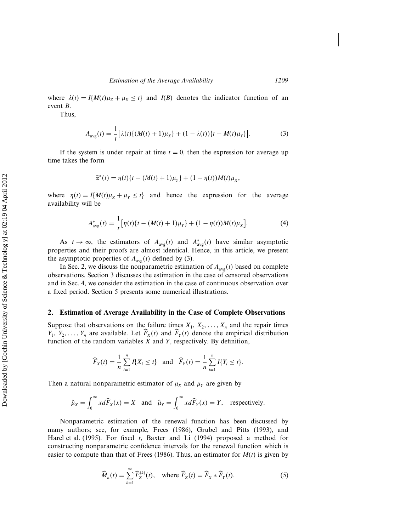where  $\lambda(t) = I\{M(t)\mu_Z + \mu_X \le t\}$  and  $I(B)$  denotes the indicator function of an event B.

Thus,

$$
A_{\text{avg}}(t) = \frac{1}{t} [\lambda(t) \{ (M(t) + 1)\mu_X \} + (1 - \lambda(t)) \{ t - M(t)\mu_Y \}].
$$
 (3)

If the system is under repair at time  $t = 0$ , then the expression for average up time takes the form

$$
\bar{\alpha}^*(t) = \eta(t)\{t - (M(t) + 1)\mu_Y\} + (1 - \eta(t))M(t)\mu_X,
$$

where  $\eta(t) = I\{M(t)\mu_z + \mu_Y \le t\}$  and hence the expression for the average availability will be

$$
A_{\text{avg}}^*(t) = \frac{1}{t} \big[ \eta(t) \{ t - (M(t) + 1)\mu_Y \} + (1 - \eta(t))M(t)\mu_X \big]. \tag{4}
$$

As  $t \to \infty$ , the estimators of  $A_{\text{avg}}(t)$  and  $A_{\text{avg}}^*(t)$  have similar asymptotic properties and their proofs are almost identical. Hence, in this article, we present the asymptotic properties of  $A_{\text{avg}}(t)$  defined by (3).

In Sec. 2, we discuss the nonparametric estimation of  $A_{\text{avg}}(t)$  based on complete observations. Section 3 discusses the estimation in the case of censored observations and in Sec. 4, we consider the estimation in the case of continuous observation over a fixed period. Section 5 presents some numerical illustrations.

#### **2. Estimation of Average Availability in the Case of Complete Observations**

Suppose that observations on the failure times  $X_1, X_2, \ldots, X_n$  and the repair times  $Y_1, Y_2, \ldots, Y_n$  are available. Let  $F_X(t)$  and  $F_Y(t)$  denote the empirical distribution function of the random variables  $X$  and  $Y$ , respectively. By definition,

$$
\widehat{F}_X(t) = \frac{1}{n} \sum_{i=1}^n I\{X_i \le t\}
$$
 and  $\widehat{F}_Y(t) = \frac{1}{n} \sum_{i=1}^n I\{Y_i \le t\}.$ 

Then a natural nonparametric estimator of  $\mu_X$  and  $\mu_Y$  are given by

$$
\hat{\mu}_X = \int_0^\infty x d\widehat{F}_X(x) = \overline{X}
$$
 and  $\hat{\mu}_Y = \int_0^\infty x d\widehat{F}_Y(x) = \overline{Y}$ , respectively.

Nonparametric estimation of the renewal function has been discussed by many authors; see, for example, Frees (1986), Grubel and Pitts (1993), and Harel et al. (1995). For fixed t, Baxter and Li (1994) proposed a method for constructing nonparametric confidence intervals for the renewal function which is easier to compute than that of Frees (1986). Thus, an estimator for  $M(t)$  is given by

$$
\widehat{M}_n(t) = \sum_{k=1}^{\infty} \widehat{F}_Z^{(k)}(t), \quad \text{where } \widehat{F}_Z(t) = \widehat{F}_X * \widehat{F}_Y(t). \tag{5}
$$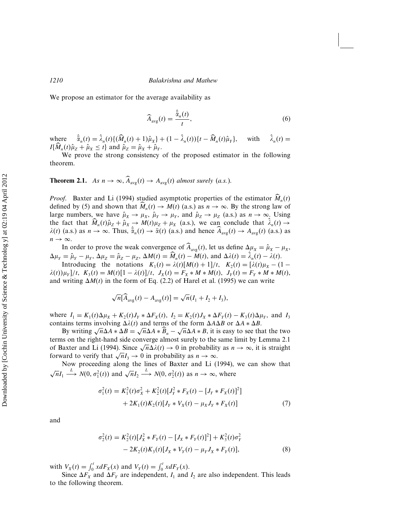We propose an estimator for the average availability as

$$
\widehat{A}_{\text{avg}}(t) = \frac{\bar{\alpha}_n(t)}{t},\tag{6}
$$

where  $\vec{a}_n(t) = \lambda_n(t) \{ (\vec{M}_n(t) + 1) \hat{\mu}_X \} + (1 - \lambda_n(t)) \{ t - \vec{M}_n(t) \hat{\mu}_N \}$ with  $\hat{\lambda}_n(t) =$  $I\{M_n(t)\hat{\mu}_Z + \hat{\mu}_X \leq t\}$  and  $\hat{\mu}_Z = \hat{\mu}_X + \hat{\mu}_Y$ .

We prove the strong consistency of the proposed estimator in the following theorem.

**Theorem 2.1.** *As*  $n \to \infty$ ,  $A_{avg}(t) \to A_{avg}(t)$  *almost surely (a.s.).* 

*Proof.* Baxter and Li (1994) studied asymptotic properties of the estimator  $\widehat{M}_n(t)$ defined by (5) and shown that  $M_n(t) \to M(t)$  (a.s.) as  $n \to \infty$ . By the strong law of large numbers, we have  $\hat{\mu}_X \to \mu_X$ ,  $\hat{\mu}_Y \to \mu_Y$ , and  $\hat{\mu}_Z \to \mu_Z$  (a.s.) as  $n \to \infty$ . Using the fact that  $M_n(t)\hat{\mu}_Z + \hat{\mu}_X \rightarrow M(t)\mu_Z + \mu_X$  (a.s.), we can conclude that  $\lambda_n(t) \rightarrow$  $\lambda(t)$  (a.s.) as  $n \to \infty$ . Thus,  $\bar{\alpha}_n(t) \to \bar{\alpha}(t)$  (a.s.) and hence  $A_{\text{avg}}(t) \to A_{\text{avg}}(t)$  (a.s.) as  $n \to \infty$ .

In order to prove the weak convergence of  $A_{avg}(t)$ , let us define  $\Delta \mu_X = \hat{\mu}_X - \mu_X$ ,  $\Delta \mu_Y = \hat{\mu}_Y - \mu_Y$ ,  $\Delta \mu_Z = \hat{\mu}_Z - \mu_Z$ ,  $\Delta M(t) = M_n(t) - M(t)$ , and  $\Delta \lambda(t) = \lambda_n(t) - \lambda(t)$ .

Introducing the notations  $K_1(t) = \lambda(t)[M(t) + 1]/t$ ,  $K_2(t) = [\lambda(t)\mu_X - (1 \lambda(t)\mu_Y]/t$ ,  $K_3(t) = M(t)[1 - \lambda(t)]/t$ ,  $J_X(t) = F_X * M * M(t)$ ,  $J_Y(t) = F_Y * M * M(t)$ , and writing  $\Delta M(t)$  in the form of Eq. (2.2) of Harel et al. (1995) we can write

$$
\sqrt{n}[\widehat{A}_{\text{avg}}(t) - A_{\text{avg}}(t)] = \sqrt{n}(I_1 + I_2 + I_3),
$$

where  $I_1 = K_1(t)\Delta\mu_X + K_2(t)J_Y * \Delta F_X(t)$ ,  $I_2 = K_2(t)J_X * \Delta F_Y(t) - K_3(t)\Delta\mu_Y$ , and  $I_3$ contains terms involving  $\Delta \lambda(t)$  and terms of the form  $\Delta A \Delta B$  or  $\Delta A * \Delta B$ .

By writing  $\sqrt{n}\Delta A * \Delta B = \sqrt{n}\Delta A * \widehat{B}_n - \sqrt{n}\Delta A * B$ , it is easy to see that the two terms on the right-hand side converge almost surely to the same limit by Lemma 2.1 of Baxter and Li (1994). Since  $\sqrt{n}\Delta\lambda(t) \to 0$  in probability as  $n \to \infty$ , it is straight forward to verify that  $\sqrt{n}I_3 \to 0$  in probability as  $n \to \infty$ .

Now proceeding along the lines of Baxter and Li (1994), we can show that  $\sqrt{n}I_1 \stackrel{L}{\longrightarrow} N(0, \sigma_1^2(t))$  and  $\sqrt{n}I_2 \stackrel{L}{\longrightarrow} N(0, \sigma_2^2(t))$  as  $n \to \infty$ , where

$$
\sigma_1^2(t) = K_1^2(t)\sigma_X^2 + K_2^2(t)[J_Y^2 * F_X(t) - [J_Y * F_X(t)]^2]
$$
  
+ 2K\_1(t)K\_2(t)[J\_Y \* V\_X(t) - \mu\_X J\_Y \* F\_X(t)] (7)

and

$$
\sigma_2^2(t) = K_2^2(t)[J_X^2 * F_Y(t) - [J_X * F_Y(t)]^2] + K_3^2(t)\sigma_Y^2
$$
  
- 2K\_2(t)K\_3(t)[J\_X \* V\_Y(t) - \mu\_Y J\_X \* F\_Y(t)], (8)

with  $V_X(t) = \int_0^t x dF_X(x)$  and  $V_Y(t) = \int_0^t x dF_Y(x)$ .

Since  $\Delta F_X$  and  $\Delta F_Y$  are independent,  $I_1$  and  $I_2$  are also independent. This leads to the following theorem.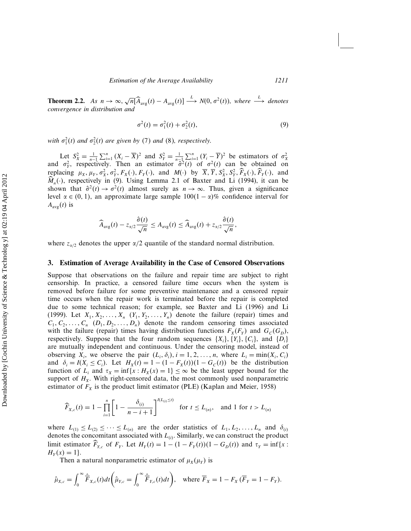**Theorem 2.2.** As  $n \to \infty$ ,  $\sqrt{n}[\widehat{A}_{avg}(t) - A_{avg}(t)] \xrightarrow{L} N(0, \sigma^2(t))$ , where  $\xrightarrow{L}$  denotes *convergence in distribution and*

$$
\sigma^2(t) = \sigma_1^2(t) + \sigma_2^2(t),
$$
\n(9)

with  $\sigma_1^2(t)$  and  $\sigma_2^2(t)$  are given by (7) and (8), respectively.

Let  $S_X^2 = \frac{1}{n-1} \sum_{i=1}^n (X_i - \overline{X})^2$  and  $S_Y^2 = \frac{1}{n-1} \sum_{i=1}^n (Y_i - \overline{Y})^2$  be estimators of  $\sigma_X^2$  and  $\sigma_Y^2$ , respectively. Then an estimator  $\hat{\sigma}^2(t)$  of  $\sigma^2(t)$  can be obtained on replacing  $\mu_X$ ,  $\mu_Y$ ,  $\sigma_X^2$ ,  $\sigma_Y^2$ ,  $F_X(\cdot)$ ,  $F_Y(\cdot)$ , and  $M(\cdot)$  by  $\overline{X}$ ,  $\overline{Y}$ ,  $S_X^2$ ,  $S_Y^2$ ,  $\overline{F}_X(\cdot)$ ,  $\overline{F}_Y(\cdot)$ , and  $\widehat{M}_n(\cdot)$ , respectively in (9). Using Lemma 2.1 of Baxter and Li (1994), it can be shown that  $\hat{\sigma}^2(t) \to \sigma^2(t)$  almost surely as  $n \to \infty$ . Thus, given a significance level  $\alpha \in (0, 1)$ , an approximate large sample  $100(1 - \alpha)\%$  confidence interval for  $A_{\text{avg}}(t)$  is

$$
\widehat{A}_{\text{avg}}(t) - z_{\alpha/2} \frac{\hat{\sigma}(t)}{\sqrt{n}} \leq A_{\text{avg}}(t) \leq \widehat{A}_{\text{avg}}(t) + z_{\alpha/2} \frac{\hat{\sigma}(t)}{\sqrt{n}},
$$

where  $z_{\alpha/2}$  denotes the upper  $\alpha/2$  quantile of the standard normal distribution.

#### **3. Estimation of Average Availability in the Case of Censored Observations**

Suppose that observations on the failure and repair time are subject to right censorship. In practice, a censored failure time occurs when the system is removed before failure for some preventive maintenance and a censored repair time occurs when the repair work is terminated before the repair is completed due to some technical reason; for example, see Baxter and Li (1996) and Li (1999). Let  $X_1, X_2, \ldots, X_n$   $(Y_1, Y_2, \ldots, Y_n)$  denote the failure (repair) times and  $C_1, C_2, \ldots, C_n \ (D_1, D_2, \ldots, D_n)$  denote the random censoring times associated with the failure (repair) times having distribution functions  $F_X(F_Y)$  and  $G_C(G_D)$ , respectively. Suppose that the four random sequences  $\{X_i\}$ ,  $\{Y_i\}$ ,  $\{C_i\}$ , and  $\{D_i\}$ are mutually independent and continuous. Under the censoring model, instead of observing  $X_i$ , we observe the pair  $(L_i, \delta_i)$ ,  $i = 1, 2, ..., n$ , where  $L_i = \min(X_i, C_i)$ and  $\delta_i = I(X_i \leq C_i)$ . Let  $H_X(t) = 1 - (1 - F_X(t))(1 - G_C(t))$  be the distribution function of  $L_i$  and  $\tau_X = \inf\{x : H_X(x) = 1\} \leq \infty$  be the least upper bound for the support of  $H<sub>X</sub>$ . With right-censored data, the most commonly used nonparametric estimator of  $F_X$  is the product limit estimator (PLE) (Kaplan and Meier, 1958)

$$
\widehat{F}_{X,c}(t) = 1 - \prod_{i=1}^{n} \left[ 1 - \frac{\delta_{(i)}}{n - i + 1} \right]^{I(L_{(i)} \le t)} \quad \text{for } t \le L_{(n)}, \quad \text{and } 1 \text{ for } t > L_{(n)}
$$

where  $L_{(1)} \le L_{(2)} \le \cdots \le L_{(n)}$  are the order statistics of  $L_1, L_2, \ldots, L_n$  and  $\delta_{(i)}$ denotes the concomitant associated with  $L_{(i)}$ . Similarly, we can construct the product limit estimator  $\overline{F}_{Y,c}$  of  $F_Y$ . Let  $H_Y(t) = 1 - (1 - F_Y(t))(1 - G_D(t))$  and  $\tau_Y = \inf\{x :$  $H_Y(x) = 1$ .

Then a natural nonparametric estimator of  $\mu_X(\mu_Y)$  is

$$
\hat{\mu}_{X,c} = \int_0^\infty \hat{\overline{F}}_{X,c}(t) dt \bigg( \hat{\mu}_{Y,c} = \int_0^\infty \hat{\overline{F}}_{Y,c}(t) dt \bigg), \quad \text{where } \overline{F}_X = 1 - F_X(\overline{F}_Y = 1 - F_Y).
$$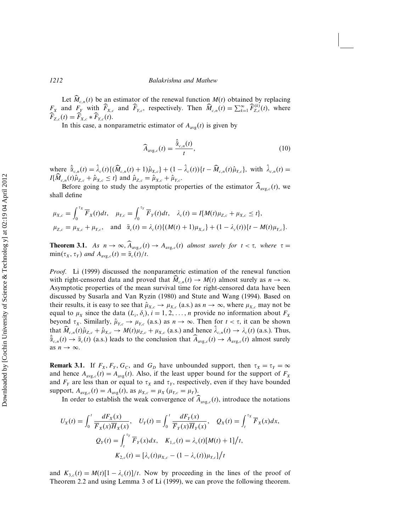Let  $M_{c,n}(t)$  be an estimator of the renewal function  $M(t)$  obtained by replacing  $F_X$  and  $F_Y$  with  $\widehat{F}_{X,c}$  and  $\widehat{F}_{Y,c}$ , respectively. Then  $\widehat{M}_{c,n}(t) = \sum_{k=1}^{\infty} \widehat{F}_{Z,c}^{(k)}(t)$ , where  $F_{Z,c}(t) = F_{X,c} * F_{Y,c}(t).$ 

In this case, a nonparametric estimator of  $A_{\text{avg}}(t)$  is given by

$$
\widehat{A}_{\text{avg},c}(t) = \frac{\widehat{\alpha}_{c,n}(t)}{t},\tag{10}
$$

where  $\bar{\alpha}_{c,n}(t) = \lambda_c(t) \{ (M_{c,n}(t) + 1) \hat{\mu}_{X,c} \} + (1 - \lambda_c(t)) \{ t - M_{c,n}(t) \hat{\mu}_{Y,c} \}$ , with  $\lambda_{c,n}(t) =$  $I\{\widetilde{M}_{c,n}(t)\hat{\mu}_{Z,c} + \hat{\mu}_{X,c} \leq t\}$  and  $\hat{\mu}_{Z,c} = \hat{\mu}_{X,c} + \hat{\mu}_{Y,c}$ .

Before going to study the asymptotic properties of the estimator  $A_{\text{avg},c}(t)$ , we shall define

$$
\mu_{X,c} = \int_0^{\tau_X} \overline{F}_X(t) dt, \quad \mu_{Y,c} = \int_0^{\tau_Y} \overline{F}_Y(t) dt, \quad \lambda_c(t) = I\{M(t)\mu_{Z,c} + \mu_{X,c} \le t\},
$$
  

$$
\mu_{Z,c} = \mu_{X,c} + \mu_{Y,c}, \quad \text{and} \quad \overline{\alpha}_c(t) = \lambda_c(t)\{(M(t) + 1)\mu_{X,c}\} + (1 - \lambda_c(t))\{t - M(t)\mu_{Y,c}\}.
$$

**Theorem 3.1.** As  $n \to \infty$ ,  $A_{\text{avg},c}(t) \to A_{\text{avg},c}(t)$  almost surely for  $t < \tau$ , where  $\tau =$  $\min(\tau_X, \tau_Y)$  and  $A_{\text{avg},c}(t) = \overline{\alpha}_c(t)/t$ .

*Proof*. Li (1999) discussed the nonparametric estimation of the renewal function with right-censored data and proved that  $M_{c,n}(t) \to M(t)$  almost surely as  $n \to \infty$ . Asymptotic properties of the mean survival time for right-censored data have been discussed by Susarla and Van Ryzin (1980) and Stute and Wang (1994). Based on their results, it is easy to see that  $\hat{\mu}_{X,c} \to \mu_{X,c}$  (a.s.) as  $n \to \infty$ , where  $\mu_{X,c}$  may not be equal to  $\mu_X$  since the data  $(L_i, \delta_i)$ ,  $i = 1, 2, ..., n$  provide no information about  $F_X$ beyond  $\tau_X$ . Similarly,  $\hat{\mu}_{Y,c} \to \mu_{Y,c}$  (a.s.) as  $n \to \infty$ . Then for  $t < \tau$ , it can be shown that  $\hat{M}_{c,n}(t)\hat{\mu}_{Z,c} + \hat{\mu}_{X,c} \rightarrow M(t)\mu_{Z,c} + \mu_{X,c}$  (a.s.) and hence  $\lambda_{c,n}(t) \rightarrow \lambda_c(t)$  (a.s.). Thus,  $\bar{\alpha}_{c,n}(t) \to \bar{\alpha}_c(t)$  (a.s.) leads to the conclusion that  $A_{\text{avg},c}(t) \to A_{\text{avg},c}(t)$  almost surely as  $n \to \infty$ .

**Remark 3.1.** If  $F_X, F_Y, G_C$ , and  $G_D$  have unbounded support, then  $\tau_X = \tau_Y = \infty$ and hence  $A_{\text{avg},c}(t) = A_{\text{avg}}(t)$ . Also, if the least upper bound for the support of  $F_X$ and  $F_Y$  are less than or equal to  $\tau_X$  and  $\tau_Y$ , respectively, even if they have bounded support,  $A_{\text{avg},c}(t) = A_{\text{avg}}(t)$ , as  $\mu_{X,c} = \mu_X (\mu_{Y,c} = \mu_Y)$ .

In order to establish the weak convergence of  $A_{\text{avg},c}(t)$ , introduce the notations

$$
U_X(t) = \int_0^t \frac{dF_X(x)}{\overline{F}_X(x)\overline{H}_X(x)}, \quad U_Y(t) = \int_0^t \frac{dF_Y(x)}{\overline{F}_Y(x)\overline{H}_Y(x)}, \quad Q_X(t) = \int_t^{\tau_X} \overline{F}_X(x)dx,
$$
  

$$
Q_Y(t) = \int_t^{\tau_Y} \overline{F}_Y(x)dx, \quad K_{1,c}(t) = \lambda_c(t)[M(t) + 1]/t,
$$
  

$$
K_{2,c}(t) = [\lambda_c(t)\mu_{X,c} - (1 - \lambda_c(t))\mu_{Y,c}]/t
$$

and  $K_{3,c}(t) = M(t)[1 - \lambda_c(t)]/t$ . Now by proceeding in the lines of the proof of Theorem 2.2 and using Lemma 3 of Li (1999), we can prove the following theorem.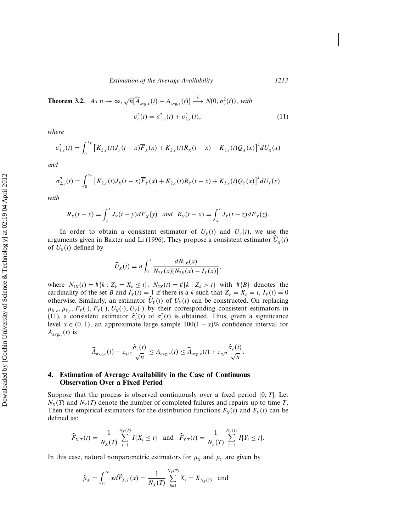**Theorem 3.2.** *As*  $n \to \infty$ ,  $\sqrt{n}[\widehat{A}_{\text{avg},c}(t) - A_{\text{avg},c}(t)] \xrightarrow{L} N(0, \sigma_c^2(t))$ , with  $\sigma_c^2(t) = \sigma_{1,c}^2(t) + \sigma_{2,c}^2(t),$ (11)

*where*

$$
\sigma_{1,c}^2(t) = \int_0^{\tau_X} \left[ K_{2,c}(t) J_Y(t-x) \overline{F}_X(x) + K_{2,c}(t) R_X(t-x) - K_{1,c}(t) Q_X(x) \right]^2 dU_X(x)
$$

*and*

$$
\sigma_{2,c}^2(t) = \int_0^{\tau_Y} \left[ K_{2,c}(t) J_X(t-x) \overline{F}_Y(x) + K_{2,c}(t) R_Y(t-x) + K_{3,c}(t) Q_Y(x) \right]^2 dU_Y(x)
$$

*with*

$$
R_X(t-x) = \int_x^t J_Y(t-y) d\overline{F}_X(y) \text{ and } R_Y(t-x) = \int_x^t J_X(t-z) d\overline{F}_Y(z).
$$

In order to obtain a consistent estimator of  $U_X(t)$  and  $U_Y(t)$ , we use the arguments given in Baxter and Li (1996). They propose a consistent estimator  $U_X(t)$ of  $U_X(t)$  defined by

$$
\widehat{U}_X(t) = n \int_0^t \frac{dN_{1X}(x)}{N_{2X}(x)[N_{2X}(x) - I_X(x)]},
$$

where  $N_{1X}(t) = #\{k : Z_k = X_k \le t\}$ ,  $N_{2X}(t) = #\{k : Z_k > t\}$  with  $#B\}$  denotes the cardinality of the set B and  $I_X(t) = 1$  if there is a k such that  $Z_k = X_k = t$ ,  $I_X(t) = 0$ otherwise. Similarly, an estimator  $U_Y(t)$  of  $U_Y(t)$  can be constructed. On replacing  $\mu_{X,c}, \mu_{Y,c}, F_X(\cdot), F_Y(\cdot), U_X(\cdot), U_Y(\cdot)$  by their corresponding consistent estimators in (11), a consistent estimator  $\hat{\sigma}_c^2(t)$  of  $\sigma_c^2(t)$  is obtained. Thus, given a significance level  $\alpha \in (0, 1)$ , an approximate large sample  $100(1 - \alpha)\%$  confidence interval for  $A_{\text{avg},c}(t)$  is

$$
\widehat{A}_{\text{avg},c}(t) - z_{\alpha/2} \frac{\hat{\sigma}_c(t)}{\sqrt{n}} \leq A_{\text{avg},c}(t) \leq \widehat{A}_{\text{avg},c}(t) + z_{\alpha/2} \frac{\hat{\sigma}_c(t)}{\sqrt{n}}.
$$

#### **4. Estimation of Average Availability in the Case of Continuous Observation Over a Fixed Period**

Suppose that the process is observed continuously over a fixed period  $[0, T]$ . Let  $N_X(T)$  and  $N_Y(T)$  denote the number of completed failures and repairs up to time T. Then the empirical estimators for the distribution functions  $F_X(t)$  and  $F_Y(t)$  can be defined as:

$$
\widehat{F}_{X,T}(t) = \frac{1}{N_X(T)} \sum_{i=1}^{N_X(T)} I\{X_i \le t\} \text{ and } \widehat{F}_{Y,T}(t) = \frac{1}{N_Y(T)} \sum_{i=1}^{N_Y(T)} I\{Y_i \le t\}.
$$

In this case, natural nonparametric estimators for  $\mu_X$  and  $\mu_Y$  are given by

$$
\hat{\mu}_X = \int_0^\infty x d\widehat{F}_{X,T}(x) = \frac{1}{N_X(T)} \sum_{i=1}^{N_X(T)} X_i = \overline{X}_{N_X(T)} \text{ and}
$$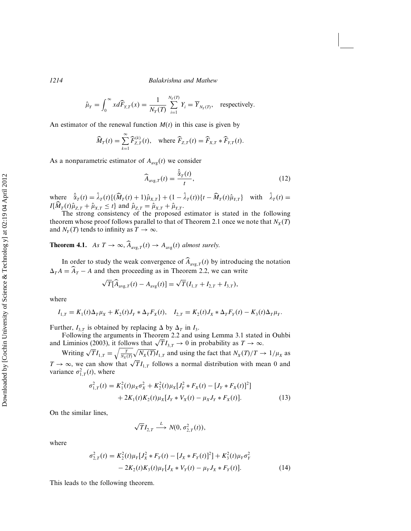$$
\hat{\mu}_Y = \int_0^\infty x d\widehat{F}_{Y,T}(x) = \frac{1}{N_Y(T)} \sum_{i=1}^{N_Y(T)} Y_i = \overline{Y}_{N_Y(T)}, \text{ respectively.}
$$

An estimator of the renewal function  $M(t)$  in this case is given by

$$
\widehat{M}_T(t) = \sum_{k=1}^{\infty} \widehat{F}_{Z,T}^{(k)}(t), \quad \text{where } \widehat{F}_{Z,T}(t) = \widehat{F}_{X,T} * \widehat{F}_{Y,T}(t).
$$

As a nonparametric estimator of  $A_{\text{avg}}(t)$  we consider

$$
\widehat{A}_{\text{avg},T}(t) = \frac{\widehat{\alpha}_T(t)}{t},\tag{12}
$$

where  $\bar{\alpha}_T(t) = \lambda_T(t) \{ (M_T(t) + 1) \hat{\mu}_{X,T} \} + (1 - \lambda_T(t)) \{ t - M_T(t) \hat{\mu}_{Y,T} \}$  with  $\lambda_T(t) =$  $I\{\dot{M}_T(t)\hat{\mu}_{Z,T} + \hat{\mu}_{X,T} \leq t\}$  and  $\hat{\mu}_{Z,T} = \hat{\mu}_{X,T} + \hat{\mu}_{Y,T}$ .

The strong consistency of the proposed estimator is stated in the following theorem whose proof follows parallel to that of Theorem 2.1 once we note that  $N_X(T)$ and  $N_Y(T)$  tends to infinity as  $T \to \infty$ .

**Theorem 4.1.** *As*  $T \to \infty$ ,  $A_{\text{avg},T}(t) \to A_{\text{avg}}(t)$  almost surely.

In order to study the weak convergence of  $A_{\text{avg},T}(t)$  by introducing the notation  $\Delta_T A = \widehat{A}_T - A$  and then proceeding as in Theorem 2.2, we can write

$$
\sqrt{T}[\widehat{A}_{\text{avg},T}(t) - A_{\text{avg}}(t)] = \sqrt{T}(I_{1,T} + I_{2,T} + I_{3,T}),
$$

where

$$
I_{1,T} = K_1(t)\Delta_T\mu_X + K_2(t)J_Y * \Delta_T F_X(t), \quad I_{2,T} = K_2(t)J_X * \Delta_T F_Y(t) - K_3(t)\Delta_T\mu_Y.
$$

Further,  $I_{3,T}$  is obtained by replacing  $\Delta$  by  $\Delta_T$  in  $I_3$ .

Following the arguments in Theorem 2.2 and using Lemma 3.1 stated in Ouhbi and Liminios (2003), it follows that  $\sqrt{T}I_{3,T} \to 0$  in probability as  $T \to \infty$ .

Writing  $\sqrt{T}I_{1,T} = \sqrt{\frac{T}{N_X(1)}}$  $\frac{T}{N_X(T)}\sqrt{N_X(T)}I_{1,T}$  and using the fact that  $N_X(T)/T \to 1/\mu_X$  as  $T \to \infty$ , we can show that  $\sqrt{T}I_{1,T}$  follows a normal distribution with mean 0 and variance  $\sigma_{1,T}^2(t)$ , where

$$
\sigma_{1,T}^2(t) = K_1^2(t)\mu_X\sigma_X^2 + K_2^2(t)\mu_X[J_Y^2 * F_X(t) - [J_Y * F_X(t)]^2]
$$
  
+ 2K\_1(t)K\_2(t)\mu\_X[J\_Y \* V\_X(t) - \mu\_X J\_Y \* F\_X(t)]. (13)

On the similar lines,

$$
\sqrt{T}I_{2,T} \stackrel{L}{\longrightarrow} N(0, \sigma_{2,T}^2(t)),
$$

where

$$
\sigma_{2,T}^2(t) = K_2^2(t)\mu_Y[J_X^2 * F_Y(t) - [J_X * F_Y(t)]^2] + K_3^2(t)\mu_Y\sigma_Y^2 - 2K_2(t)K_3(t)\mu_Y[J_X * V_Y(t) - \mu_Y J_X * F_Y(t)].
$$
\n(14)

This leads to the following theorem.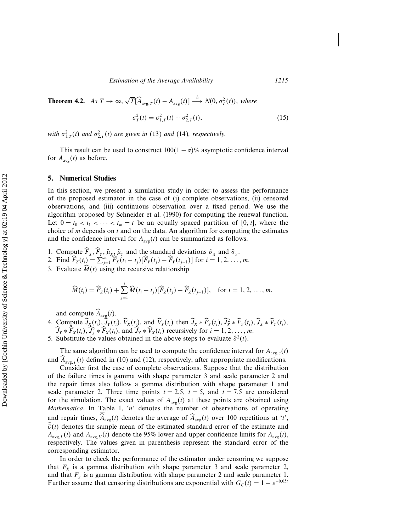**Theorem 4.2.** *As*  $T \to \infty$ ,  $\sqrt{T}[\widehat{A}_{\text{avg},T}(t) - A_{\text{avg}}(t)] \xrightarrow{L} N(0, \sigma_T^2(t))$ , where

$$
\sigma_T^2(t) = \sigma_{1,T}^2(t) + \sigma_{2,T}^2(t),\tag{15}
$$

with  $\sigma_{1,T}^2(t)$  and  $\sigma_{2,T}^2(t)$  are given in (13) and (14), respectively.

This result can be used to construct  $100(1 - \alpha)\%$  asymptotic confidence interval for  $A_{\text{avg}}(t)$  as before.

#### **5. Numerical Studies**

In this section, we present a simulation study in order to assess the performance of the proposed estimator in the case of (i) complete observations, (ii) censored observations, and (iii) continuous observation over a fixed period. We use the algorithm proposed by Schneider et al. (1990) for computing the renewal function. Let  $0 = t_0 < t_1 < \cdots < t_m = t$  be an equally spaced partition of [0, t], where the choice of  $m$  depends on  $t$  and on the data. An algorithm for computing the estimates and the confidence interval for  $A_{avg}(t)$  can be summarized as follows.

1. Compute  $\vec{F}_X$ ,  $\vec{F}_Y$ ,  $\hat{\mu}_X$ ,  $\hat{\mu}_Y$  and the standard deviations  $\hat{\sigma}_X$  and  $\hat{\sigma}_Y$ .

- 2. Find  $\widehat{F}_Z(t_i) = \sum_{j=1}^m \widehat{F}_X(t_i t_j) [\widehat{F}_Y(t_j) \widehat{F}_Y(t_{j-1})]$  for  $i = 1, 2, ..., m$ .
- 3. Evaluate  $\widehat{M}(t)$  using the recursive relationship

$$
\widehat{M}(t_i) = \widehat{F}_Z(t_i) + \sum_{j=1}^i \widehat{M}(t_i - t_j) [\widehat{F}_Z(t_j) - \widehat{F}_Z(t_{j-1})], \text{ for } i = 1, 2, ..., m.
$$

and compute  $\widehat{A}_{\text{avg}}(t)$ .

- 4. Compute  $\widehat{J}_X(t_i)$ ,  $\widehat{J}_Y(t_i)$ ,  $\widehat{V}_X(t_i)$ , and  $\widehat{V}_Y(t_i)$  then  $\widehat{J}_X * \widehat{F}_Y(t_i)$ ,  $\widehat{J}_X * \widehat{F}_Y(t_i)$ ,  $\widehat{J}_X * \widehat{V}_Y(t_i)$ ,  $\widehat{J}_Y * \widehat{F}_X(t_i), \widehat{J}_Y^2 * \widehat{F}_X(t_i)$ , and  $\widehat{J}_Y * \widehat{V}_X(t_i)$  recursively for  $i = 1, 2, ..., m$ .
- 5. Substitute the values obtained in the above steps to evaluate  $\hat{\sigma}^2(t)$ .

The same algorithm can be used to compute the confidence interval for  $A_{\text{avg},c}(t)$ and  $A_{\text{avg},T}(t)$  defined in (10) and (12), respectively, after appropriate modifications.

Consider first the case of complete observations. Suppose that the distribution of the failure times is gamma with shape parameter 3 and scale parameter 2 and the repair times also follow a gamma distribution with shape parameter 1 and scale parameter 2. Three time points  $t = 2.5$ ,  $t = 5$ , and  $t = 7.5$  are considered for the simulation. The exact values of  $A_{avg}(t)$  at these points are obtained using *Mathematica*. In Table 1, 'n' denotes the number of observations of operating and repair times,  $\widehat{A}_{\text{avg}}(t)$  denotes the average of  $\widehat{A}_{\text{avg}}(t)$  over 100 repetitions at 't',  $\hat{\sigma}(t)$  denotes the sample mean of the estimated standard error of the estimate and  $A_{\text{avg},L}(t)$  and  $A_{\text{avg},U}(t)$  denote the 95% lower and upper confidence limits for  $A_{\text{avg}}(t)$ , respectively. The values given in parenthesis represent the standard error of the corresponding estimator.

In order to check the performance of the estimator under censoring we suppose that  $F_X$  is a gamma distribution with shape parameter 3 and scale parameter 2, and that  $F<sub>Y</sub>$  is a gamma distribution with shape parameter 2 and scale parameter 1. Further assume that censoring distributions are exponential with  $G<sub>C</sub>(t) = 1 - e^{-0.05t}$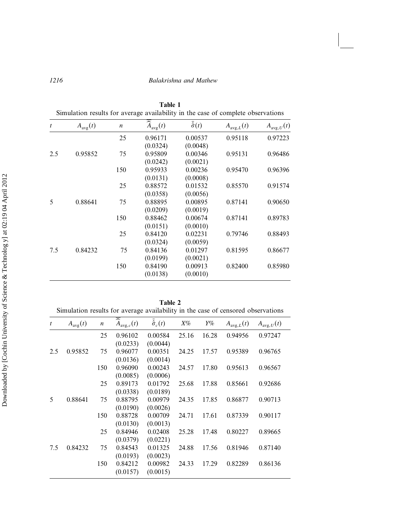| Simulation results for average availability in the case of complete observations |                     |                  |                               |                         |                       |                       |  |
|----------------------------------------------------------------------------------|---------------------|------------------|-------------------------------|-------------------------|-----------------------|-----------------------|--|
| $\boldsymbol{t}$                                                                 | $A_{\text{avg}}(t)$ | $\boldsymbol{n}$ | $\widehat{A}_{\text{avg}}(t)$ | $\bar{\hat{\sigma}}(t)$ | $A_{\text{avg},L}(t)$ | $A_{\text{avg},U}(t)$ |  |
|                                                                                  |                     | 25               | 0.96171                       | 0.00537                 | 0.95118               | 0.97223               |  |
|                                                                                  |                     |                  | (0.0324)                      | (0.0048)                |                       |                       |  |
| 2.5                                                                              | 0.95852             | 75               | 0.95809                       | 0.00346                 | 0.95131               | 0.96486               |  |
|                                                                                  |                     |                  | (0.0242)                      | (0.0021)                |                       |                       |  |
|                                                                                  |                     | 150              | 0.95933                       | 0.00236                 | 0.95470               | 0.96396               |  |
|                                                                                  |                     |                  | (0.0131)                      | (0.0008)                |                       |                       |  |
|                                                                                  |                     | 25               | 0.88572                       | 0.01532                 | 0.85570               | 0.91574               |  |
|                                                                                  |                     |                  | (0.0358)                      | (0.0056)                |                       |                       |  |
| 5                                                                                | 0.88641             | 75               | 0.88895                       | 0.00895                 | 0.87141               | 0.90650               |  |
|                                                                                  |                     |                  | (0.0209)                      | (0.0019)                |                       |                       |  |
|                                                                                  |                     | 150              | 0.88462                       | 0.00674                 | 0.87141               | 0.89783               |  |
|                                                                                  |                     |                  | (0.0151)                      | (0.0010)                |                       |                       |  |
|                                                                                  |                     | 25               | 0.84120                       | 0.02231                 | 0.79746               | 0.88493               |  |
|                                                                                  |                     |                  | (0.0324)                      | (0.0059)                |                       |                       |  |
| 7.5                                                                              | 0.84232             | 75               | 0.84136                       | 0.01297                 | 0.81595               | 0.86677               |  |
|                                                                                  |                     |                  | (0.0199)                      | (0.0021)                |                       |                       |  |
|                                                                                  |                     | 150              | 0.84190                       | 0.00913                 | 0.82400               | 0.85980               |  |
|                                                                                  |                     |                  | (0.0138)                      | (0.0010)                |                       |                       |  |
|                                                                                  |                     |                  |                               |                         |                       |                       |  |

**Table 1**

| Table 2                                                                          |  |  |  |  |  |  |
|----------------------------------------------------------------------------------|--|--|--|--|--|--|
| Simulation results for average availability in the case of censored observations |  |  |  |  |  |  |

| t   | $A_{\text{avg}}(t)$ | $\boldsymbol{n}$ | $\overline{\widehat{A}}_{\text{avg},c}(t)$ | $\bar{\hat{\sigma}}_c(t)$ | $X\%$ | Y%    | $A_{\text{avg},L}(t)$ | $A_{\text{avg}, U}(t)$ |
|-----|---------------------|------------------|--------------------------------------------|---------------------------|-------|-------|-----------------------|------------------------|
|     |                     | 25               | 0.96102                                    | 0.00584                   | 25.16 | 16.28 | 0.94956               | 0.97247                |
|     |                     |                  | (0.0233)                                   | (0.0044)                  |       |       |                       |                        |
| 2.5 | 0.95852             | 75               | 0.96077                                    | 0.00351                   | 24.25 | 17.57 | 0.95389               | 0.96765                |
|     |                     |                  | (0.0136)                                   | (0.0014)                  |       |       |                       |                        |
|     |                     | 150              | 0.96090                                    | 0.00243                   | 24.57 | 17.80 | 0.95613               | 0.96567                |
|     |                     |                  | (0.0085)                                   | (0.0006)                  |       |       |                       |                        |
|     |                     | 25               | 0.89173                                    | 0.01792                   | 25.68 | 17.88 | 0.85661               | 0.92686                |
|     |                     |                  | (0.0338)                                   | (0.0189)                  |       |       |                       |                        |
| 5   | 0.88641             | 75               | 0.88795                                    | 0.00979                   | 24.35 | 17.85 | 0.86877               | 0.90713                |
|     |                     |                  | (0.0190)                                   | (0.0026)                  |       |       |                       |                        |
|     |                     | 150              | 0.88728                                    | 0.00709                   | 24.71 | 17.61 | 0.87339               | 0.90117                |
|     |                     |                  | (0.0130)                                   | (0.0013)                  |       |       |                       |                        |
|     |                     | 25               | 0.84946                                    | 0.02408                   | 25.28 | 17.48 | 0.80227               | 0.89665                |
|     |                     |                  | (0.0379)                                   | (0.0221)                  |       |       |                       |                        |
| 7.5 | 0.84232             | 75               | 0.84543                                    | 0.01325                   | 24.88 | 17.56 | 0.81946               | 0.87140                |
|     |                     |                  | (0.0193)                                   | (0.0023)                  |       |       |                       |                        |
|     |                     | 150              | 0.84212                                    | 0.00982                   | 24.33 | 17.29 | 0.82289               | 0.86136                |
|     |                     |                  | (0.0157)                                   | (0.0015)                  |       |       |                       |                        |
|     |                     |                  |                                            |                           |       |       |                       |                        |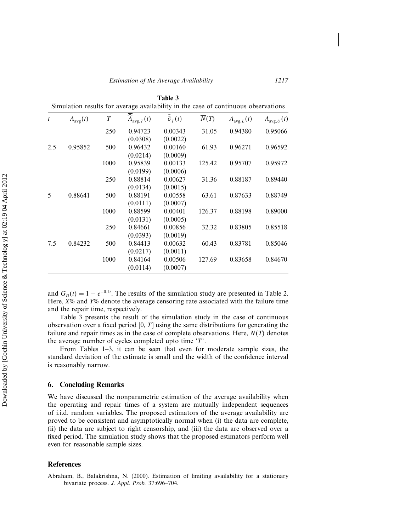| $\boldsymbol{t}$ | $A_{\text{avg}}(t)$ | $\boldsymbol{T}$ | $\widehat{A}_{\text{avg},T}(t)$ | $\bar{\hat{\sigma}}_T(t)$ | $\overline{N}(T)$ | $A_{\text{avg},L}(t)$ | $A_{\text{avg}, U}(t)$ |
|------------------|---------------------|------------------|---------------------------------|---------------------------|-------------------|-----------------------|------------------------|
|                  |                     | 250              | 0.94723                         | 0.00343                   | 31.05             | 0.94380               | 0.95066                |
|                  |                     |                  | (0.0308)                        | (0.0022)                  |                   |                       |                        |
| 2.5              | 0.95852             | 500              | 0.96432                         | 0.00160                   | 61.93             | 0.96271               | 0.96592                |
|                  |                     |                  | (0.0214)                        | (0.0009)                  |                   |                       |                        |
|                  |                     | 1000             | 0.95839                         | 0.00133                   | 125.42            | 0.95707               | 0.95972                |
|                  |                     |                  | (0.0199)                        | (0.0006)                  |                   |                       |                        |
|                  |                     | 250              | 0.88814                         | 0.00627                   | 31.36             | 0.88187               | 0.89440                |
|                  |                     |                  | (0.0134)                        | (0.0015)                  |                   |                       |                        |
| 5                | 0.88641             | 500              | 0.88191                         | 0.00558                   | 63.61             | 0.87633               | 0.88749                |
|                  |                     |                  | (0.0111)                        | (0.0007)                  |                   |                       |                        |
|                  |                     | 1000             | 0.88599                         | 0.00401                   | 126.37            | 0.88198               | 0.89000                |
|                  |                     |                  | (0.0131)                        | (0.0005)                  |                   |                       |                        |
|                  |                     | 250              | 0.84661                         | 0.00856                   | 32.32             | 0.83805               | 0.85518                |
|                  |                     |                  | (0.0393)                        | (0.0019)                  |                   |                       |                        |
| 7.5              | 0.84232             | 500              | 0.84413                         | 0.00632                   | 60.43             | 0.83781               | 0.85046                |
|                  |                     |                  | (0.0217)                        | (0.0011)                  |                   |                       |                        |
|                  |                     | 1000             | 0.84164                         | 0.00506                   | 127.69            | 0.83658               | 0.84670                |
|                  |                     |                  | (0.0114)                        | (0.0007)                  |                   |                       |                        |

**Table 3**  $S<sub>1</sub>$  in the case of continuous observations

and  $G_D(t) = 1 - e^{-0.1t}$ . The results of the simulation study are presented in Table 2. Here, *X*% and *Y*% denote the average censoring rate associated with the failure time and the repair time, respectively.

Table 3 presents the result of the simulation study in the case of continuous observation over a fixed period  $[0, T]$  using the same distributions for generating the failure and repair times as in the case of complete observations. Here,  $\overline{N}(T)$  denotes the average number of cycles completed upto time 'T'.

From Tables 1–3, it can be seen that even for moderate sample sizes, the standard deviation of the estimate is small and the width of the confidence interval is reasonably narrow.

#### **6. Concluding Remarks**

We have discussed the nonparametric estimation of the average availability when the operating and repair times of a system are mutually independent sequences of i.i.d. random variables. The proposed estimators of the average availability are proved to be consistent and asymptotically normal when (i) the data are complete, (ii) the data are subject to right censorship, and (iii) the data are observed over a fixed period. The simulation study shows that the proposed estimators perform well even for reasonable sample sizes.

#### **References**

Abraham, B., Balakrishna, N. (2000). Estimation of limiting availability for a stationary bivariate process. *J. Appl. Prob.* 37:696–704.